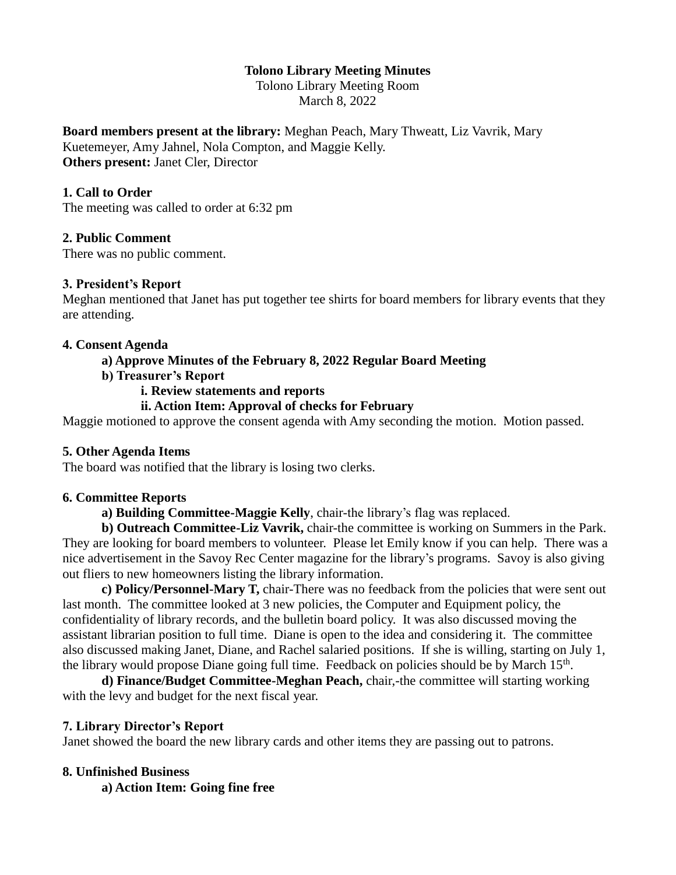### **Tolono Library Meeting Minutes**

Tolono Library Meeting Room March 8, 2022

**Board members present at the library:** Meghan Peach, Mary Thweatt, Liz Vavrik, Mary Kuetemeyer, Amy Jahnel, Nola Compton, and Maggie Kelly.

**Others present:** Janet Cler, Director

### **1. Call to Order**

The meeting was called to order at 6:32 pm

### **2. Public Comment**

There was no public comment.

#### **3. President's Report**

Meghan mentioned that Janet has put together tee shirts for board members for library events that they are attending.

#### **4. Consent Agenda**

### **a) Approve Minutes of the February 8, 2022 Regular Board Meeting**

**b) Treasurer's Report**

### **i. Review statements and reports**

### **ii. Action Item: Approval of checks for February**

Maggie motioned to approve the consent agenda with Amy seconding the motion. Motion passed.

#### **5. Other Agenda Items**

The board was notified that the library is losing two clerks.

#### **6. Committee Reports**

**a) Building Committee-Maggie Kelly**, chair-the library's flag was replaced.

**b) Outreach Committee-Liz Vavrik,** chair-the committee is working on Summers in the Park. They are looking for board members to volunteer. Please let Emily know if you can help. There was a nice advertisement in the Savoy Rec Center magazine for the library's programs. Savoy is also giving out fliers to new homeowners listing the library information.

**c) Policy/Personnel-Mary T,** chair-There was no feedback from the policies that were sent out last month. The committee looked at 3 new policies, the Computer and Equipment policy, the confidentiality of library records, and the bulletin board policy. It was also discussed moving the assistant librarian position to full time. Diane is open to the idea and considering it. The committee also discussed making Janet, Diane, and Rachel salaried positions. If she is willing, starting on July 1, the library would propose Diane going full time. Feedback on policies should be by March 15<sup>th</sup>.

**d) Finance/Budget Committee-Meghan Peach,** chair,-the committee will starting working with the levy and budget for the next fiscal year.

### **7. Library Director's Report**

Janet showed the board the new library cards and other items they are passing out to patrons.

#### **8. Unfinished Business**

**a) Action Item: Going fine free**